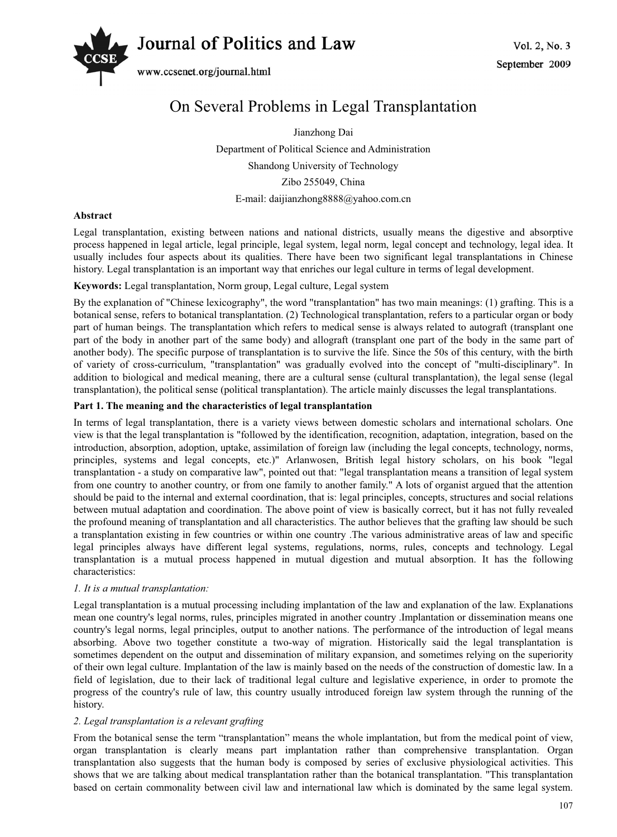

www.ccsenet.org/journal.html

# On Several Problems in Legal Transplantation

Jianzhong Dai

Department of Political Science and Administration Shandong University of Technology Zibo 255049, China E-mail: daijianzhong8888@yahoo.com.cn

# **Abstract**

Legal transplantation, existing between nations and national districts, usually means the digestive and absorptive process happened in legal article, legal principle, legal system, legal norm, legal concept and technology, legal idea. It usually includes four aspects about its qualities. There have been two significant legal transplantations in Chinese history. Legal transplantation is an important way that enriches our legal culture in terms of legal development.

# **Keywords:** Legal transplantation, Norm group, Legal culture, Legal system

By the explanation of "Chinese lexicography", the word "transplantation" has two main meanings: (1) grafting. This is a botanical sense, refers to botanical transplantation. (2) Technological transplantation, refers to a particular organ or body part of human beings. The transplantation which refers to medical sense is always related to autograft (transplant one part of the body in another part of the same body) and allograft (transplant one part of the body in the same part of another body). The specific purpose of transplantation is to survive the life. Since the 50s of this century, with the birth of variety of cross-curriculum, "transplantation" was gradually evolved into the concept of "multi-disciplinary". In addition to biological and medical meaning, there are a cultural sense (cultural transplantation), the legal sense (legal transplantation), the political sense (political transplantation). The article mainly discusses the legal transplantations.

# **Part 1. The meaning and the characteristics of legal transplantation**

In terms of legal transplantation, there is a variety views between domestic scholars and international scholars. One view is that the legal transplantation is "followed by the identification, recognition, adaptation, integration, based on the introduction, absorption, adoption, uptake, assimilation of foreign law (including the legal concepts, technology, norms, principles, systems and legal concepts, etc.)" Arlanwosen, British legal history scholars, on his book "legal transplantation - a study on comparative law", pointed out that: "legal transplantation means a transition of legal system from one country to another country, or from one family to another family." A lots of organist argued that the attention should be paid to the internal and external coordination, that is: legal principles, concepts, structures and social relations between mutual adaptation and coordination. The above point of view is basically correct, but it has not fully revealed the profound meaning of transplantation and all characteristics. The author believes that the grafting law should be such a transplantation existing in few countries or within one country. The various administrative areas of law and specific legal principles always have different legal systems, regulations, norms, rules, concepts and technology. Legal transplantation is a mutual process happened in mutual digestion and mutual absorption. It has the following characteristics:

# *1. It is a mutual transplantation:*

Legal transplantation is a mutual processing including implantation of the law and explanation of the law. Explanations mean one country's legal norms, rules, principles migrated in another country .Implantation or dissemination means one country's legal norms, legal principles, output to another nations. The performance of the introduction of legal means absorbing. Above two together constitute a two-way of migration. Historically said the legal transplantation is sometimes dependent on the output and dissemination of military expansion, and sometimes relying on the superiority of their own legal culture. Implantation of the law is mainly based on the needs of the construction of domestic law. In a field of legislation, due to their lack of traditional legal culture and legislative experience, in order to promote the progress of the country's rule of law, this country usually introduced foreign law system through the running of the history.

# *2. Legal transplantation is a relevant grafting*

From the botanical sense the term "transplantation" means the whole implantation, but from the medical point of view, organ transplantation is clearly means part implantation rather than comprehensive transplantation. Organ transplantation also suggests that the human body is composed by series of exclusive physiological activities. This shows that we are talking about medical transplantation rather than the botanical transplantation. "This transplantation based on certain commonality between civil law and international law which is dominated by the same legal system.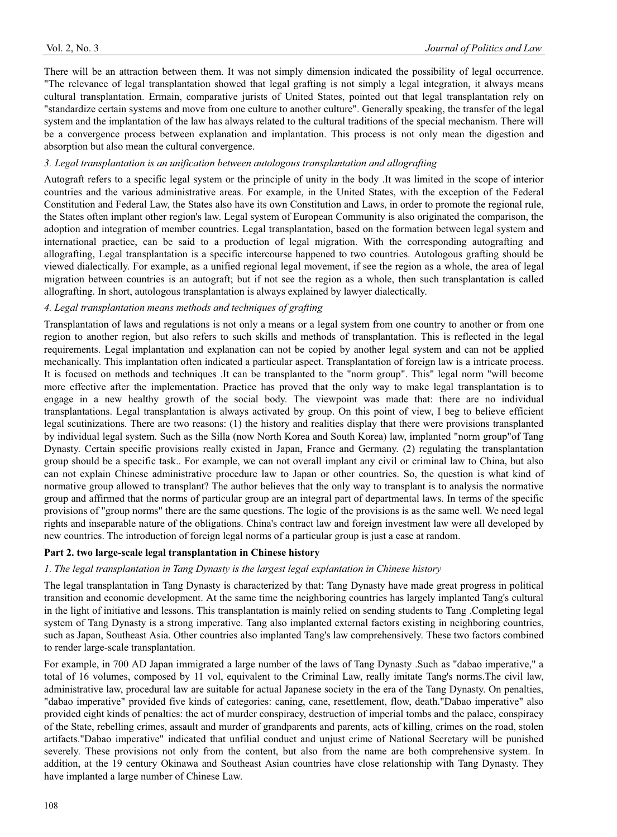There will be an attraction between them. It was not simply dimension indicated the possibility of legal occurrence. "The relevance of legal transplantation showed that legal grafting is not simply a legal integration, it always means cultural transplantation. Ermain, comparative jurists of United States, pointed out that legal transplantation rely on "standardize certain systems and move from one culture to another culture". Generally speaking, the transfer of the legal system and the implantation of the law has always related to the cultural traditions of the special mechanism. There will be a convergence process between explanation and implantation. This process is not only mean the digestion and absorption but also mean the cultural convergence.

#### *3. Legal transplantation is an unification between autologous transplantation and allografting*

Autograft refers to a specific legal system or the principle of unity in the body .It was limited in the scope of interior countries and the various administrative areas. For example, in the United States, with the exception of the Federal Constitution and Federal Law, the States also have its own Constitution and Laws, in order to promote the regional rule, the States often implant other region's law. Legal system of European Community is also originated the comparison, the adoption and integration of member countries. Legal transplantation, based on the formation between legal system and international practice, can be said to a production of legal migration. With the corresponding autografting and allografting, Legal transplantation is a specific intercourse happened to two countries. Autologous grafting should be viewed dialectically. For example, as a unified regional legal movement, if see the region as a whole, the area of legal migration between countries is an autograft; but if not see the region as a whole, then such transplantation is called allografting. In short, autologous transplantation is always explained by lawyer dialectically.

# *4. Legal transplantation means methods and techniques of grafting*

Transplantation of laws and regulations is not only a means or a legal system from one country to another or from one region to another region, but also refers to such skills and methods of transplantation. This is reflected in the legal requirements. Legal implantation and explanation can not be copied by another legal system and can not be applied mechanically. This implantation often indicated a particular aspect. Transplantation of foreign law is a intricate process. It is focused on methods and techniques .It can be transplanted to the "norm group". This" legal norm "will become more effective after the implementation. Practice has proved that the only way to make legal transplantation is to engage in a new healthy growth of the social body. The viewpoint was made that: there are no individual transplantations. Legal transplantation is always activated by group. On this point of view, I beg to believe efficient legal scutinizations. There are two reasons: (1) the history and realities display that there were provisions transplanted by individual legal system. Such as the Silla (now North Korea and South Korea) law, implanted "norm group"of Tang Dynasty. Certain specific provisions really existed in Japan, France and Germany. (2) regulating the transplantation group should be a specific task.. For example, we can not overall implant any civil or criminal law to China, but also can not explain Chinese administrative procedure law to Japan or other countries. So, the question is what kind of normative group allowed to transplant? The author believes that the only way to transplant is to analysis the normative group and affirmed that the norms of particular group are an integral part of departmental laws. In terms of the specific provisions of "group norms" there are the same questions. The logic of the provisions is as the same well. We need legal rights and inseparable nature of the obligations. China's contract law and foreign investment law were all developed by new countries. The introduction of foreign legal norms of a particular group is just a case at random.

#### **Part 2. two large-scale legal transplantation in Chinese history**

#### *1. The legal transplantation in Tang Dynasty is the largest legal explantation in Chinese history*

The legal transplantation in Tang Dynasty is characterized by that: Tang Dynasty have made great progress in political transition and economic development. At the same time the neighboring countries has largely implanted Tang's cultural in the light of initiative and lessons. This transplantation is mainly relied on sending students to Tang .Completing legal system of Tang Dynasty is a strong imperative. Tang also implanted external factors existing in neighboring countries, such as Japan, Southeast Asia. Other countries also implanted Tang's law comprehensively. These two factors combined to render large-scale transplantation.

For example, in 700 AD Japan immigrated a large number of the laws of Tang Dynasty .Such as "dabao imperative," a total of 16 volumes, composed by 11 vol, equivalent to the Criminal Law, really imitate Tang's norms.The civil law, administrative law, procedural law are suitable for actual Japanese society in the era of the Tang Dynasty. On penalties, "dabao imperative" provided five kinds of categories: caning, cane, resettlement, flow, death."Dabao imperative" also provided eight kinds of penalties: the act of murder conspiracy, destruction of imperial tombs and the palace, conspiracy of the State, rebelling crimes, assault and murder of grandparents and parents, acts of killing, crimes on the road, stolen artifacts."Dabao imperative" indicated that unfilial conduct and unjust crime of National Secretary will be punished severely. These provisions not only from the content, but also from the name are both comprehensive system. In addition, at the 19 century Okinawa and Southeast Asian countries have close relationship with Tang Dynasty. They have implanted a large number of Chinese Law.